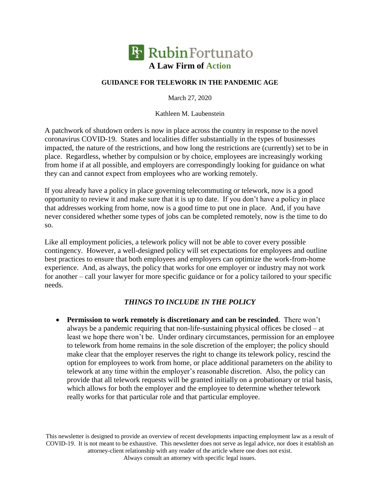

## **GUIDANCE FOR TELEWORK IN THE PANDEMIC AGE**

March 27, 2020

Kathleen M. Laubenstein

A patchwork of shutdown orders is now in place across the country in response to the novel coronavirus COVID-19. States and localities differ substantially in the types of businesses impacted, the nature of the restrictions, and how long the restrictions are (currently) set to be in place. Regardless, whether by compulsion or by choice, employees are increasingly working from home if at all possible, and employers are correspondingly looking for guidance on what they can and cannot expect from employees who are working remotely.

If you already have a policy in place governing telecommuting or telework, now is a good opportunity to review it and make sure that it is up to date. If you don't have a policy in place that addresses working from home, now is a good time to put one in place. And, if you have never considered whether some types of jobs can be completed remotely, now is the time to do so.

Like all employment policies, a telework policy will not be able to cover every possible contingency. However, a well-designed policy will set expectations for employees and outline best practices to ensure that both employees and employers can optimize the work-from-home experience. And, as always, the policy that works for one employer or industry may not work for another – call your lawyer for more specific guidance or for a policy tailored to your specific needs.

## *THINGS TO INCLUDE IN THE POLICY*

 **Permission to work remotely is discretionary and can be rescinded**. There won't always be a pandemic requiring that non-life-sustaining physical offices be closed – at least we hope there won't be. Under ordinary circumstances, permission for an employee to telework from home remains in the sole discretion of the employer; the policy should make clear that the employer reserves the right to change its telework policy, rescind the option for employees to work from home, or place additional parameters on the ability to telework at any time within the employer's reasonable discretion. Also, the policy can provide that all telework requests will be granted initially on a probationary or trial basis, which allows for both the employer and the employee to determine whether telework really works for that particular role and that particular employee.

This newsletter is designed to provide an overview of recent developments impacting employment law as a result of COVID-19. It is not meant to be exhaustive. This newsletter does not serve as legal advice, nor does it establish an attorney-client relationship with any reader of the article where one does not exist. Always consult an attorney with specific legal issues.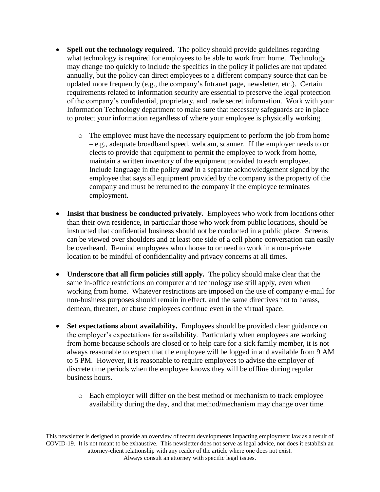- **Spell out the technology required.** The policy should provide guidelines regarding what technology is required for employees to be able to work from home. Technology may change too quickly to include the specifics in the policy if policies are not updated annually, but the policy can direct employees to a different company source that can be updated more frequently (e.g., the company's Intranet page, newsletter, etc.). Certain requirements related to information security are essential to preserve the legal protection of the company's confidential, proprietary, and trade secret information. Work with your Information Technology department to make sure that necessary safeguards are in place to protect your information regardless of where your employee is physically working.
	- o The employee must have the necessary equipment to perform the job from home – e.g., adequate broadband speed, webcam, scanner. If the employer needs to or elects to provide that equipment to permit the employee to work from home, maintain a written inventory of the equipment provided to each employee. Include language in the policy *and* in a separate acknowledgement signed by the employee that says all equipment provided by the company is the property of the company and must be returned to the company if the employee terminates employment.
- Insist that business be conducted privately. Employees who work from locations other than their own residence, in particular those who work from public locations, should be instructed that confidential business should not be conducted in a public place. Screens can be viewed over shoulders and at least one side of a cell phone conversation can easily be overheard. Remind employees who choose to or need to work in a non-private location to be mindful of confidentiality and privacy concerns at all times.
- **Underscore that all firm policies still apply.** The policy should make clear that the same in-office restrictions on computer and technology use still apply, even when working from home. Whatever restrictions are imposed on the use of company e-mail for non-business purposes should remain in effect, and the same directives not to harass, demean, threaten, or abuse employees continue even in the virtual space.
- Set expectations about availability. Employees should be provided clear guidance on the employer's expectations for availability. Particularly when employees are working from home because schools are closed or to help care for a sick family member, it is not always reasonable to expect that the employee will be logged in and available from 9 AM to 5 PM. However, it is reasonable to require employees to advise the employer of discrete time periods when the employee knows they will be offline during regular business hours.
	- o Each employer will differ on the best method or mechanism to track employee availability during the day, and that method/mechanism may change over time.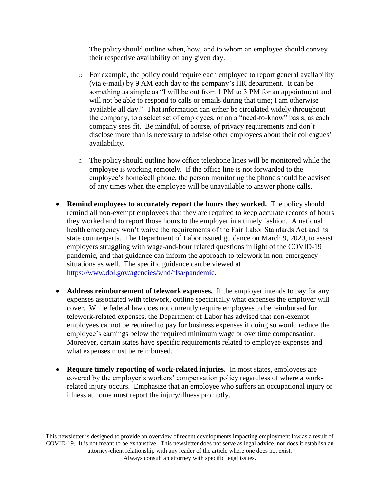The policy should outline when, how, and to whom an employee should convey their respective availability on any given day.

- o For example, the policy could require each employee to report general availability (via e-mail) by 9 AM each day to the company's HR department. It can be something as simple as "I will be out from 1 PM to 3 PM for an appointment and will not be able to respond to calls or emails during that time; I am otherwise available all day." That information can either be circulated widely throughout the company, to a select set of employees, or on a "need-to-know" basis, as each company sees fit. Be mindful, of course, of privacy requirements and don't disclose more than is necessary to advise other employees about their colleagues' availability.
- o The policy should outline how office telephone lines will be monitored while the employee is working remotely. If the office line is not forwarded to the employee's home/cell phone, the person monitoring the phone should be advised of any times when the employee will be unavailable to answer phone calls.
- **Remind employees to accurately report the hours they worked.** The policy should remind all non-exempt employees that they are required to keep accurate records of hours they worked and to report those hours to the employer in a timely fashion. A national health emergency won't waive the requirements of the Fair Labor Standards Act and its state counterparts. The Department of Labor issued guidance on March 9, 2020, to assist employers struggling with wage-and-hour related questions in light of the COVID-19 pandemic, and that guidance can inform the approach to telework in non-emergency situations as well. The specific guidance can be viewed at [https://www.dol.gov/agencies/whd/flsa/pandemic.](https://www.dol.gov/agencies/whd/flsa/pandemic)
- **Address reimbursement of telework expenses.** If the employer intends to pay for any expenses associated with telework, outline specifically what expenses the employer will cover. While federal law does not currently require employees to be reimbursed for telework-related expenses, the Department of Labor has advised that non-exempt employees cannot be required to pay for business expenses if doing so would reduce the employee's earnings below the required minimum wage or overtime compensation. Moreover, certain states have specific requirements related to employee expenses and what expenses must be reimbursed.
- **Require timely reporting of work-related injuries.** In most states, employees are covered by the employer's workers' compensation policy regardless of where a workrelated injury occurs. Emphasize that an employee who suffers an occupational injury or illness at home must report the injury/illness promptly.